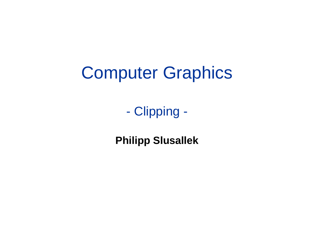### Computer Graphics

- Clipping -

**Philipp Slusallek**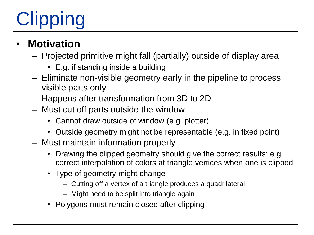# **Clipping**

### • **Motivation**

- Projected primitive might fall (partially) outside of display area
	- E.g. if standing inside a building
- Eliminate non-visible geometry early in the pipeline to process visible parts only
- Happens after transformation from 3D to 2D
- Must cut off parts outside the window
	- Cannot draw outside of window (e.g. plotter)
	- Outside geometry might not be representable (e.g. in fixed point)
- Must maintain information properly
	- Drawing the clipped geometry should give the correct results: e.g. correct interpolation of colors at triangle vertices when one is clipped
	- Type of geometry might change
		- Cutting off a vertex of a triangle produces a quadrilateral
		- Might need to be split into triangle again
	- Polygons must remain closed after clipping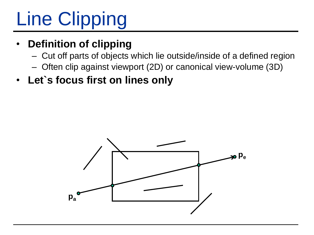# Line Clipping

### • **Definition of clipping**

- Cut off parts of objects which lie outside/inside of a defined region
- Often clip against viewport (2D) or canonical view-volume (3D)
- **Let`s focus first on lines only**

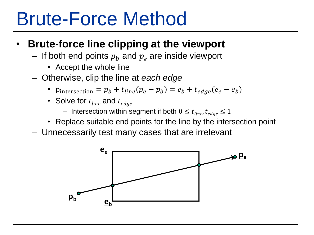### Brute-Force Method

#### • **Brute-force line clipping at the viewport**

- If both end points  $p_h$  and  $p_e$  are inside viewport
	- Accept the whole line
- Otherwise, clip the line at *each edge*
	- Pintersection =  $p_b + t_{line}(p_e p_b) = e_b + t_{edge}(e_e e_b)$
	- Solve for  $t_{line}$  and  $t_{edge}$ 
		- Intersection within segment if both  $0 \le t_{line}$ ,  $t_{edge} \le 1$
	- Replace suitable end points for the line by the intersection point
- Unnecessarily test many cases that are irrelevant

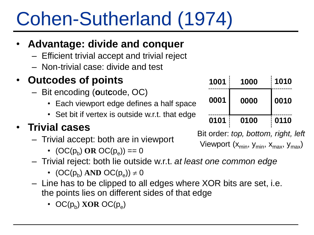## Cohen-Sutherland (1974)

### • **Advantage: divide and conquer**

- Efficient trivial accept and trivial reject
- Non-trivial case: divide and test

### • **Outcodes of points**

- Bit encoding (**o**ut**c**ode, OC)
	- Each viewport edge defines a half space
	- Set bit if vertex is outside w.r.t. that edge

### • **Trivial cases**

- Trivial accept: both are in viewport
	- $(OC(p_b) \text{ OR } OC(p_e)) == 0$
- Trivial reject: both lie outside w.r.t. *at least one common edge*
	- $(OC(p_b) \text{ AND } OC(p_e)) \neq 0$
- Line has to be clipped to all edges where XOR bits are set, i.e. the points lies on different sides of that edge
	- OC( $p_b$ ) **XOR** OC( $p_e$ )

| 1001 | 1000 | 1010 |
|------|------|------|
| 0001 | 0000 | 0010 |
| 0101 | 0100 | 0110 |

Bit order: *top, bottom, right, left* Viewport  $(x_{min}, y_{min}, x_{max}, y_{max})$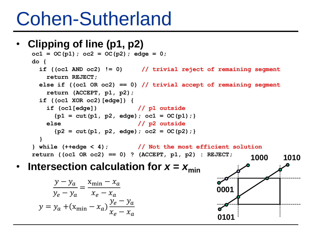### Cohen-Sutherland

### • **Clipping of line (p1, p2)**

```
oc1 = OC(p1); oc2 = OC(p2); edge = 0;
do {
  if ((oc1 AND oc2) != 0) // trivial reject of remaining segment
   return REJECT;
 else if ((oc1 OR oc2) == 0) // trivial accept of remaining segment
   return (ACCEPT, p1, p2);
 if ((oc1 XOR oc2)[edge]) {
   if (oc1[edge]) // p1 outside
     {p1 = cut(p1, p2, edge)}; oc1 = OC(p1);}else // p2 outside
     {p2 = cut(p1, p2, edge)}; oc2 = OC(p2)};}
} while (++edge < 4); // Not the most efficient solution
return ((oc1 OR oc2) == 0) ? (ACCEPT, p1, p2) : REJECT;
                                                        1000
```
#### **Intersection calculation for**  $x = x_{\text{min}}$

$$
\frac{y - y_a}{y_e - y_a} = \frac{x_{\min} - x_a}{x_e - x_a}
$$

$$
y = y_a + (x_{\min} - x_a) \frac{y_e - y_a}{x_e - x_a}
$$

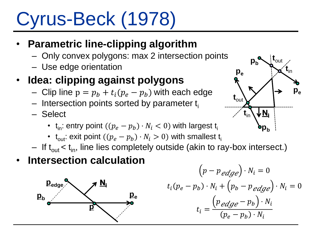# Cyrus-Beck (1978)

### • **Parametric line-clipping algorithm**

- Only convex polygons: max 2 intersection points
- Use edge orientation

### • **Idea: clipping against polygons**

- Clip line  $p = p_h + t_i (p_e p_h)$  with each edge
- $-$  Intersection points sorted by parameter  $t_i$
- Select
	- $\mathsf{t}_{\mathsf{in}}$ : entry point  $((p_e-p_b)\cdot N_i < 0)$  with largest  $\mathsf{t}_{\mathsf{i}}$
	- $t_{\text{out}}$ : exit point  $((p_e p_h) \cdot N_i > 0)$  with smallest  $t_i$
- $-$  If t<sub>out</sub>  $<$  t<sub>in</sub>, line lies completely outside (akin to ray-box intersect.)

### • **Intersection calculation**



$$
(p - p_{\text{edge}}) \cdot N_i = 0
$$
  

$$
t_i(p_e - p_b) \cdot N_i + (p_b - p_{\text{edge}}) \cdot N_i = 0
$$
  

$$
t_i = \frac{(p_{\text{edge}} - p_b) \cdot N_i}{(p_e - p_b) \cdot N_i}
$$

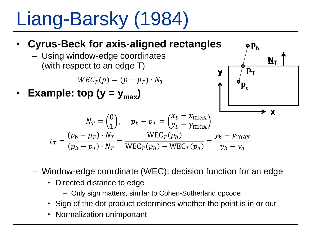Liang-Barsky (1984)

#### • **Cyrus-Beck for axis-aligned rectangles** – Using window-edge coordinates (with respect to an edge T) **Example: top (y =**  $y_{max}$ **)**  $WEC_T(p) = (p - p_T) \cdot N_T$  $N_T =$ 0 1 ,  $p_b - p_T =$  $x_b - x_{\text{max}}$  $y_b - y_{\text{max}}$  $t_T =$  $p_b-p_T)\cdot N_T$  $p_b-p_e)\cdot N_T$ =  ${\rm WEC}_{T}(p_b$  ${\rm WEC}_{T}(p_b) - {\rm WEC}_{T}(p_e)$ =  $y_b - y_{\text{max}}$  $y_b - y_e$  $N_T$ **x y**  $\mathbf{p}_{\text{e}}$  $\mathbf{p}_{\mathbf{h}}$  $\mathbf{p}_{\mathrm{T}}$

- Window-edge coordinate (WEC): decision function for an edge
	- Directed distance to edge
		- Only sign matters, similar to Cohen-Sutherland opcode
	- Sign of the dot product determines whether the point is in or out
	- Normalization unimportant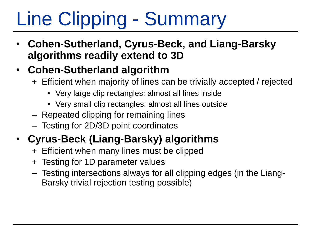# Line Clipping - Summary

- **Cohen-Sutherland, Cyrus-Beck, and Liang-Barsky algorithms readily extend to 3D**
- **Cohen-Sutherland algorithm**
	- + Efficient when majority of lines can be trivially accepted / rejected
		- Very large clip rectangles: almost all lines inside
		- Very small clip rectangles: almost all lines outside
	- Repeated clipping for remaining lines
	- Testing for 2D/3D point coordinates

### • **Cyrus-Beck (Liang-Barsky) algorithms**

- + Efficient when many lines must be clipped
- + Testing for 1D parameter values
- Testing intersections always for all clipping edges (in the Liang-Barsky trivial rejection testing possible)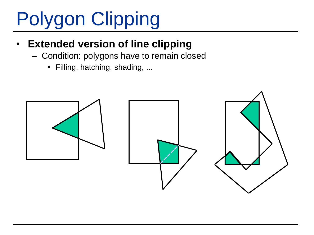# Polygon Clipping

### **Extended version of line clipping**

- Condition: polygons have to remain closed
	- Filling, hatching, shading, ...

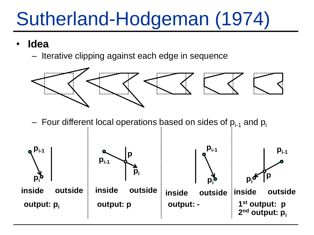### Sutherland-Hodgeman (1974)

- **Idea**
	- Iterative clipping against each edge in sequence



– Four different local operations based on sides of  $p_{i-1}$  and  $p_i$ 

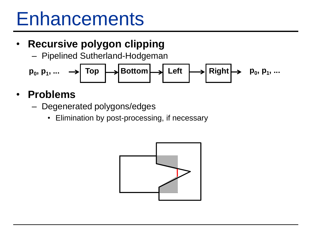### **Enhancements**

### • **Recursive polygon clipping**

– Pipelined Sutherland-Hodgeman

**p0 , p<sup>1</sup> , ... p<sup>0</sup> , p<sup>1</sup> Top Bottom Left Right , ...**

#### • **Problems**

- Degenerated polygons/edges
	- Elimination by post-processing, if necessary

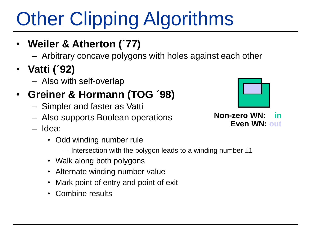# **Other Clipping Algorithms**

- **Weiler & Atherton (´77)**
	- Arbitrary concave polygons with holes against each other
- **Vatti (´92)**
	- Also with self-overlap

### • **Greiner & Hormann (TOG ´98)**

- Simpler and faster as Vatti
- Also supports Boolean operations
- Idea:
	- Odd winding number rule
		- Intersection with the polygon leads to a winding number  $\pm 1$
	- Walk along both polygons
	- Alternate winding number value
	- Mark point of entry and point of exit
	- Combine results



**Non-zero WN: in Even WN: out**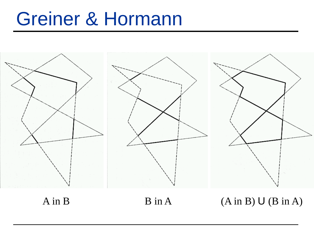### Greiner & Hormann

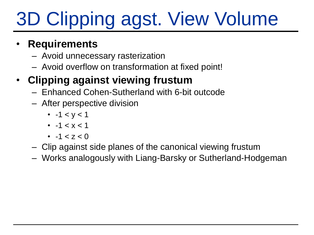# 3D Clipping agst. View Volume

#### • **Requirements**

- Avoid unnecessary rasterization
- Avoid overflow on transformation at fixed point!

### • **Clipping against viewing frustum**

- Enhanced Cohen-Sutherland with 6-bit outcode
- After perspective division
	- $-1 < y < 1$
	- $-1 < x < 1$
	- $-1 < 7 < 0$
- Clip against side planes of the canonical viewing frustum
- Works analogously with Liang-Barsky or Sutherland-Hodgeman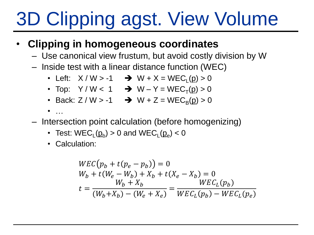# 3D Clipping agst. View Volume

#### • **Clipping in homogeneous coordinates**

- Use canonical view frustum, but avoid costly division by W
- Inside test with a linear distance function (WEC)
	- Left:  $X / W > -1$   $\rightarrow$   $W + X = WEC_{L}(p) > 0$
	- Top:  $Y/W < 1$   $\rightarrow$   $W Y = WEC<sub>T</sub>(p) > 0$
	- Back:  $Z / W > -1$   $\rightarrow$   $W + Z = WEC_B(p) > 0$
	- $\bullet$  …
- Intersection point calculation (before homogenizing)
	- Test:  $\mathsf{WEC}_\mathsf{L}(p_\mathsf{b}) > 0$  and  $\mathsf{WEC}_\mathsf{L}(p_\mathsf{e}) < 0$
	- Calculation:

$$
WEC(p_b + t(p_e - p_b)) = 0
$$
  
\n
$$
W_b + t(W_e - W_b) + X_b + t(X_e - X_b) = 0
$$
  
\n
$$
t = \frac{W_b + X_b}{(W_b + X_b) - (W_e + X_e)} = \frac{WEC_L(p_b)}{WEC_L(p_b) - WEC_L(p_e)}
$$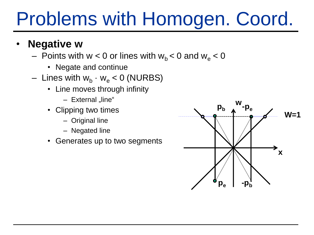### Problems with Homogen. Coord.

- **Negative w**
	- Points with  $w < 0$  or lines with  $w_b < 0$  and  $w_e < 0$ 
		- Negate and continue
	- $-$  Lines with  $w_b \cdot w_e < 0$  (NURBS)
		- Line moves through infinity
			- $-$  External  $\overline{\mathsf{m}}$ line"
		- Clipping two times
			- Original line
			- Negated line
		- Generates up to two segments